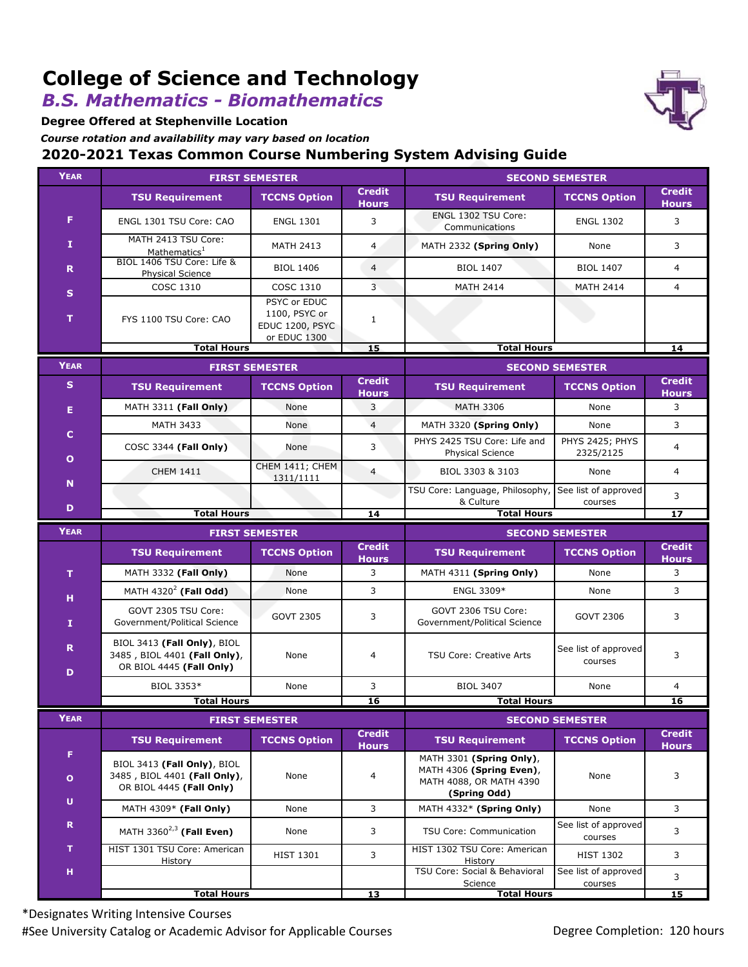# **College of Science and Technology**

### *B.S. Mathematics - Biomathematics*

**Degree Offered at Stephenville Location**

*Course rotation and availability may vary based on location*

#### **2020-2021 Texas Common Course Numbering System Advising Guide**

| <b>YEAR</b>                 | <b>FIRST SEMESTER</b>                                                                   |                                                                  |                               | <b>SECOND SEMESTER</b>                                                                          |                                 |                               |
|-----------------------------|-----------------------------------------------------------------------------------------|------------------------------------------------------------------|-------------------------------|-------------------------------------------------------------------------------------------------|---------------------------------|-------------------------------|
|                             | <b>TSU Requirement</b>                                                                  | <b>TCCNS Option</b>                                              | <b>Credit</b><br><b>Hours</b> | <b>TSU Requirement</b>                                                                          | <b>TCCNS Option</b>             | <b>Credit</b><br><b>Hours</b> |
| F.                          | ENGL 1301 TSU Core: CAO                                                                 | <b>ENGL 1301</b>                                                 | 3                             | ENGL 1302 TSU Core:<br>Communications                                                           | <b>ENGL 1302</b>                | 3                             |
| I                           | MATH 2413 TSU Core:<br>Mathematics <sup>1</sup>                                         | <b>MATH 2413</b>                                                 | $\overline{4}$                | MATH 2332 (Spring Only)                                                                         | None                            | 3                             |
| R.                          | BIOL 1406 TSU Core: Life &<br><b>Physical Science</b>                                   | <b>BIOL 1406</b>                                                 | $\overline{4}$                | <b>BIOL 1407</b>                                                                                | <b>BIOL 1407</b>                | $\overline{4}$                |
| $\mathbf{s}$                | COSC 1310                                                                               | COSC 1310                                                        | 3                             | <b>MATH 2414</b>                                                                                | <b>MATH 2414</b>                | $\overline{4}$                |
| т                           | FYS 1100 TSU Core: CAO                                                                  | PSYC or EDUC<br>1100, PSYC or<br>EDUC 1200, PSYC<br>or EDUC 1300 | $\mathbf{1}$                  |                                                                                                 |                                 |                               |
|                             | <b>Total Hours</b>                                                                      |                                                                  | 15                            | <b>Total Hours</b>                                                                              |                                 | 14                            |
| <b>YEAR</b>                 | <b>FIRST SEMESTER</b>                                                                   |                                                                  |                               | <b>SECOND SEMESTER</b>                                                                          |                                 |                               |
| $\mathbf{s}$                | <b>TSU Requirement</b>                                                                  | <b>TCCNS Option</b>                                              | <b>Credit</b><br><b>Hours</b> | <b>TSU Requirement</b>                                                                          | <b>TCCNS Option</b>             | <b>Credit</b><br><b>Hours</b> |
| Е                           | MATH 3311 (Fall Only)                                                                   | None                                                             | 3                             | <b>MATH 3306</b>                                                                                | None                            | 3                             |
|                             | <b>MATH 3433</b>                                                                        | None                                                             | $\overline{4}$                | MATH 3320 (Spring Only)                                                                         | None                            | 3                             |
| $\mathbf C$<br>$\mathbf{o}$ | COSC 3344 (Fall Only)                                                                   | None                                                             | 3                             | PHYS 2425 TSU Core: Life and<br>Physical Science                                                | PHYS 2425; PHYS<br>2325/2125    | 4                             |
| $\mathbf N$                 | <b>CHEM 1411</b>                                                                        | CHEM 1411; CHEM<br>1311/1111                                     | $\overline{4}$                | BIOL 3303 & 3103                                                                                | None                            | $\overline{4}$                |
| D                           |                                                                                         |                                                                  |                               | TSU Core: Language, Philosophy,<br>& Culture                                                    | See list of approved<br>courses | 3                             |
|                             | <b>Total Hours</b>                                                                      |                                                                  | 14                            | <b>Total Hours</b>                                                                              |                                 | 17                            |
| <b>YEAR</b>                 | <b>FIRST SEMESTER</b>                                                                   |                                                                  |                               | <b>SECOND SEMESTER</b>                                                                          |                                 |                               |
|                             | <b>TSU Requirement</b>                                                                  | <b>TCCNS Option</b>                                              | <b>Credit</b><br><b>Hours</b> | <b>TSU Requirement</b>                                                                          | <b>TCCNS Option</b>             | <b>Credit</b><br><b>Hours</b> |
| T                           | MATH 3332 (Fall Only)                                                                   | None                                                             | 3                             | MATH 4311 (Spring Only)                                                                         | None                            | 3                             |
| н                           | MATH 4320 <sup>2</sup> (Fall Odd)                                                       | None                                                             | 3                             | ENGL 3309*                                                                                      | None                            | 3                             |
| 1                           | GOVT 2305 TSU Core:<br>Government/Political Science                                     | <b>GOVT 2305</b>                                                 | 3                             | GOVT 2306 TSU Core:<br>Government/Political Science                                             | <b>GOVT 2306</b>                | 3                             |
| R.<br>D                     | BIOL 3413 (Fall Only), BIOL<br>3485, BIOL 4401 (Fall Only),<br>OR BIOL 4445 (Fall Only) | None                                                             | 4                             | <b>TSU Core: Creative Arts</b>                                                                  | See list of approved<br>courses | 3                             |
|                             | BIOL 3353*                                                                              | None                                                             | 3                             | <b>BIOL 3407</b>                                                                                | None                            | $\overline{4}$                |
|                             | <b>Total Hours</b>                                                                      |                                                                  | 16                            | <b>Total Hours</b>                                                                              |                                 | 16                            |
| <b>YEAR</b>                 | <b>FIRST SEMESTER</b>                                                                   |                                                                  |                               | <b>SECOND SEMESTER</b>                                                                          |                                 |                               |
|                             | <b>TSU Requirement</b>                                                                  | <b>TCCNS Option</b>                                              | <b>Credit</b><br><b>Hours</b> | <b>TSU Requirement</b>                                                                          | <b>TCCNS Option</b>             | <b>Credit</b><br><b>Hours</b> |
| F.<br>$\mathbf{o}$          | BIOL 3413 (Fall Only), BIOL<br>3485, BIOL 4401 (Fall Only),<br>OR BIOL 4445 (Fall Only) | None                                                             | 4                             | MATH 3301 (Spring Only),<br>MATH 4306 (Spring Even),<br>MATH 4088, OR MATH 4390<br>(Spring Odd) | None                            | 3                             |
| $\mathsf{U}$                | MATH 4309* (Fall Only)                                                                  | None                                                             | 3                             | MATH 4332* (Spring Only)                                                                        | None                            | 3                             |
| $\mathbf R$                 | MATH 3360 $^{2,3}$ (Fall Even)                                                          | None                                                             | 3                             | TSU Core: Communication                                                                         | See list of approved<br>courses | 3                             |
| T                           | HIST 1301 TSU Core: American<br><b>History</b>                                          | <b>HIST 1301</b>                                                 | 3                             | HIST 1302 TSU Core: American<br>History                                                         | <b>HIST 1302</b>                | 3                             |
| н                           |                                                                                         |                                                                  |                               | TSU Core: Social & Behavioral<br>Science                                                        | See list of approved<br>courses | 3                             |
|                             | <b>Total Hours</b>                                                                      |                                                                  | 13                            |                                                                                                 | <b>Total Hours</b>              |                               |

\*Designates Writing Intensive Courses #See University Catalog or Academic Advisor for Applicable Courses **Degree Completion: 120 hours** Degree Completion: 120 hours